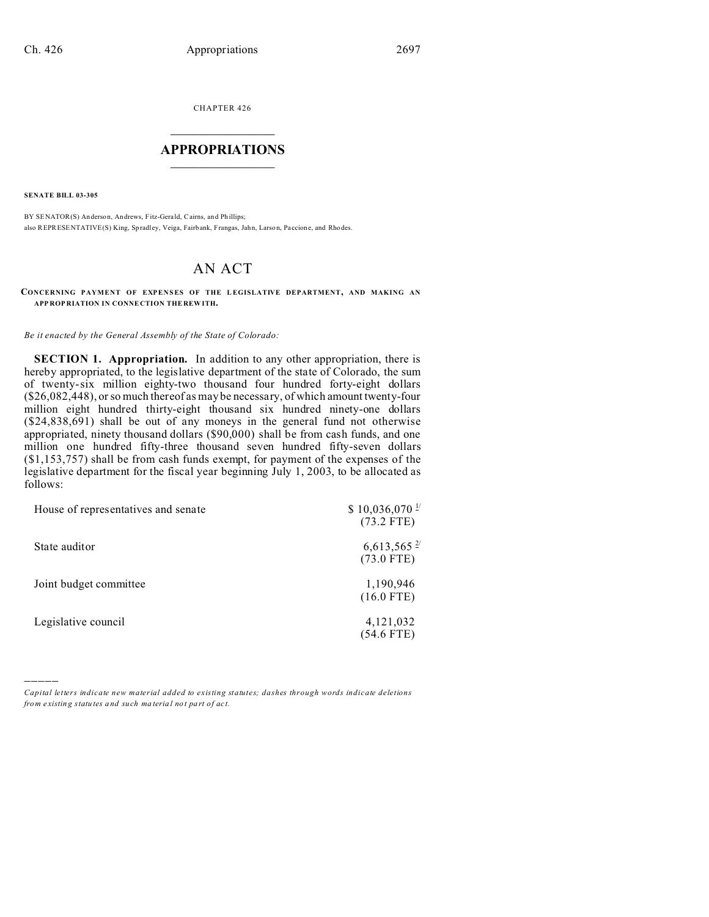CHAPTER 426  $\overline{\phantom{a}}$  , where  $\overline{\phantom{a}}$ 

## **APPROPRIATIONS**  $\_$   $\_$   $\_$   $\_$   $\_$   $\_$   $\_$   $\_$

**SENATE BILL 03-305**

)))))

BY SENATOR(S) Anderson, An drews, Fitz-Gerald, Cairns, and Phillips; also REPRESENTATIVE(S) King, Spradley, Veiga, Fairbank, Frangas, Jahn, Larson, Paccione, and Rhodes.

## AN ACT

## **CONCERNING PAYMENT OF EXPENSES OF THE L EGISLATIVE DEPARTMENT, AND MAKING AN APP ROP RIATION IN CONNE CTION THE REW ITH.**

## *Be it enacted by the General Assembly of the State of Colorado:*

**SECTION 1. Appropriation.** In addition to any other appropriation, there is hereby appropriated, to the legislative department of the state of Colorado, the sum of twenty-six million eighty-two thousand four hundred forty-eight dollars (\$26,082,448), or so much thereof as may be necessary, of which amount twenty-four million eight hundred thirty-eight thousand six hundred ninety-one dollars (\$24,838,691) shall be out of any moneys in the general fund not otherwise appropriated, ninety thousand dollars (\$90,000) shall be from cash funds, and one million one hundred fifty-three thousand seven hundred fifty-seven dollars (\$1,153,757) shall be from cash funds exempt, for payment of the expenses of the legislative department for the fiscal year beginning July 1, 2003, to be allocated as follows:

| House of representatives and senate | $$10,036,070$ <sup>1/</sup><br>$(73.2$ FTE) |
|-------------------------------------|---------------------------------------------|
| State auditor                       | $6,613,565$ <sup>2/</sup><br>$(73.0$ FTE)   |
| Joint budget committee              | 1,190,946<br>$(16.0$ FTE)                   |
| Legislative council                 | 4,121,032<br>$(54.6$ FTE)                   |

*Capital letters indicate new material added to existing statutes; dashes through words indicate deletions from e xistin g statu tes a nd such ma teria l no t pa rt of ac t.*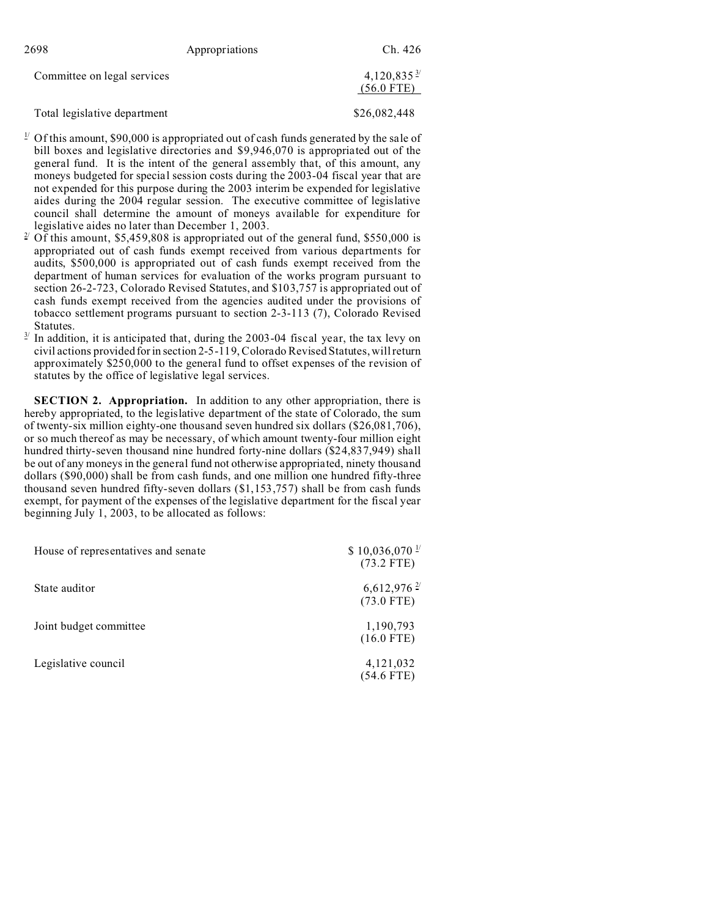| 2698                        | Appropriations | Ch. 426                                |
|-----------------------------|----------------|----------------------------------------|
| Committee on legal services |                | $4,120,835\frac{3}{2}$<br>$(56.0$ FTE) |

Total legislative department \$26,082,448

- $1/2$  Of this amount, \$90,000 is appropriated out of cash funds generated by the sale of bill boxes and legislative directories and \$9,946,070 is appropriated out of the general fund. It is the intent of the general assembly that, of this amount, any moneys budgeted for special session costs during the 2003-04 fiscal year that are not expended for this purpose during the 2003 interim be expended for legislative aides during the 2004 regular session. The executive committee of legislative council shall determine the amount of moneys available for expenditure for legislative aides no later than December 1, 2003.
- <sup>2/</sup> Of this amount, \$5,459,808 is appropriated out of the general fund, \$550,000 is appropriated out of cash funds exempt received from various departments for audits, \$500,000 is appropriated out of cash funds exempt received from the department of human services for evaluation of the works program pursuant to section 26-2-723, Colorado Revised Statutes, and \$103,757 is appropriated out of cash funds exempt received from the agencies audited under the provisions of tobacco settlement programs pursuant to section 2-3-113 (7), Colorado Revised Statutes.
- 3/ In addition, it is anticipated that, during the 2003-04 fiscal year, the tax levy on civil actions provided for in section 2-5-119, Colorado Revised Statutes, will return approximately \$250,000 to the general fund to offset expenses of the revision of statutes by the office of legislative legal services.

**SECTION 2. Appropriation.** In addition to any other appropriation, there is hereby appropriated, to the legislative department of the state of Colorado, the sum of twenty-six million eighty-one thousand seven hundred six dollars (\$26,081,706), or so much thereof as may be necessary, of which amount twenty-four million eight hundred thirty-seven thousand nine hundred forty-nine dollars (\$24,837,949) shall be out of any moneys in the general fund not otherwise appropriated, ninety thousand dollars (\$90,000) shall be from cash funds, and one million one hundred fifty-three thousand seven hundred fifty-seven dollars (\$1,153,757) shall be from cash funds exempt, for payment of the expenses of the legislative department for the fiscal year beginning July 1, 2003, to be allocated as follows:

| House of representatives and senate | $$10,036,070$ <sup>1/</sup><br>$(73.2$ FTE) |
|-------------------------------------|---------------------------------------------|
| State auditor                       | $6,612,976$ <sup>2/</sup><br>$(73.0$ FTE)   |
| Joint budget committee              | 1,190,793<br>$(16.0$ FTE)                   |
| Legislative council                 | 4,121,032<br>$(54.6$ FTE)                   |